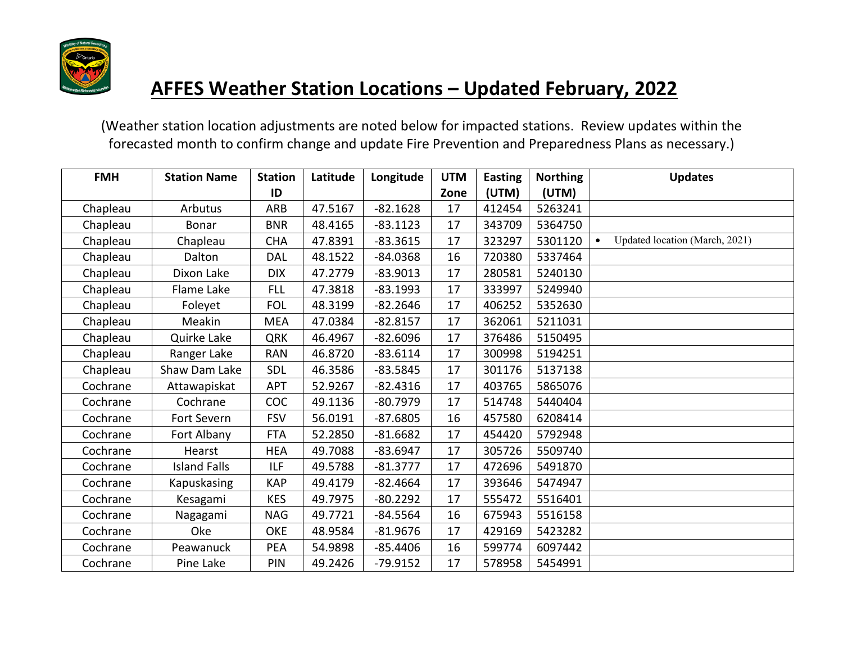

| <b>FMH</b> | <b>Station Name</b> | <b>Station</b> | Latitude | Longitude  | <b>UTM</b> | <b>Easting</b> | <b>Northing</b> | <b>Updates</b>                 |
|------------|---------------------|----------------|----------|------------|------------|----------------|-----------------|--------------------------------|
|            |                     | ID             |          |            | Zone       | (UTM)          | (UTM)           |                                |
| Chapleau   | Arbutus             | ARB            | 47.5167  | $-82.1628$ | 17         | 412454         | 5263241         |                                |
| Chapleau   | Bonar               | <b>BNR</b>     | 48.4165  | $-83.1123$ | 17         | 343709         | 5364750         |                                |
| Chapleau   | Chapleau            | <b>CHA</b>     | 47.8391  | $-83.3615$ | 17         | 323297         | 5301120         | Updated location (March, 2021) |
| Chapleau   | Dalton              | <b>DAL</b>     | 48.1522  | $-84.0368$ | 16         | 720380         | 5337464         |                                |
| Chapleau   | Dixon Lake          | <b>DIX</b>     | 47.2779  | $-83.9013$ | 17         | 280581         | 5240130         |                                |
| Chapleau   | Flame Lake          | <b>FLL</b>     | 47.3818  | $-83.1993$ | 17         | 333997         | 5249940         |                                |
| Chapleau   | Foleyet             | <b>FOL</b>     | 48.3199  | $-82.2646$ | 17         | 406252         | 5352630         |                                |
| Chapleau   | Meakin              | <b>MEA</b>     | 47.0384  | $-82.8157$ | 17         | 362061         | 5211031         |                                |
| Chapleau   | Quirke Lake         | <b>QRK</b>     | 46.4967  | $-82.6096$ | 17         | 376486         | 5150495         |                                |
| Chapleau   | Ranger Lake         | <b>RAN</b>     | 46.8720  | $-83.6114$ | 17         | 300998         | 5194251         |                                |
| Chapleau   | Shaw Dam Lake       | SDL            | 46.3586  | $-83.5845$ | 17         | 301176         | 5137138         |                                |
| Cochrane   | Attawapiskat        | APT            | 52.9267  | $-82.4316$ | 17         | 403765         | 5865076         |                                |
| Cochrane   | Cochrane            | <b>COC</b>     | 49.1136  | $-80.7979$ | 17         | 514748         | 5440404         |                                |
| Cochrane   | Fort Severn         | <b>FSV</b>     | 56.0191  | $-87.6805$ | 16         | 457580         | 6208414         |                                |
| Cochrane   | Fort Albany         | <b>FTA</b>     | 52.2850  | $-81.6682$ | 17         | 454420         | 5792948         |                                |
| Cochrane   | Hearst              | <b>HEA</b>     | 49.7088  | $-83.6947$ | 17         | 305726         | 5509740         |                                |
| Cochrane   | <b>Island Falls</b> | <b>ILF</b>     | 49.5788  | $-81.3777$ | 17         | 472696         | 5491870         |                                |
| Cochrane   | Kapuskasing         | <b>KAP</b>     | 49.4179  | $-82.4664$ | 17         | 393646         | 5474947         |                                |
| Cochrane   | Kesagami            | <b>KES</b>     | 49.7975  | $-80.2292$ | 17         | 555472         | 5516401         |                                |
| Cochrane   | Nagagami            | <b>NAG</b>     | 49.7721  | $-84.5564$ | 16         | 675943         | 5516158         |                                |
| Cochrane   | Oke                 | <b>OKE</b>     | 48.9584  | $-81.9676$ | 17         | 429169         | 5423282         |                                |
| Cochrane   | Peawanuck           | <b>PEA</b>     | 54.9898  | $-85.4406$ | 16         | 599774         | 6097442         |                                |
| Cochrane   | Pine Lake           | PIN            | 49.2426  | $-79.9152$ | 17         | 578958         | 5454991         |                                |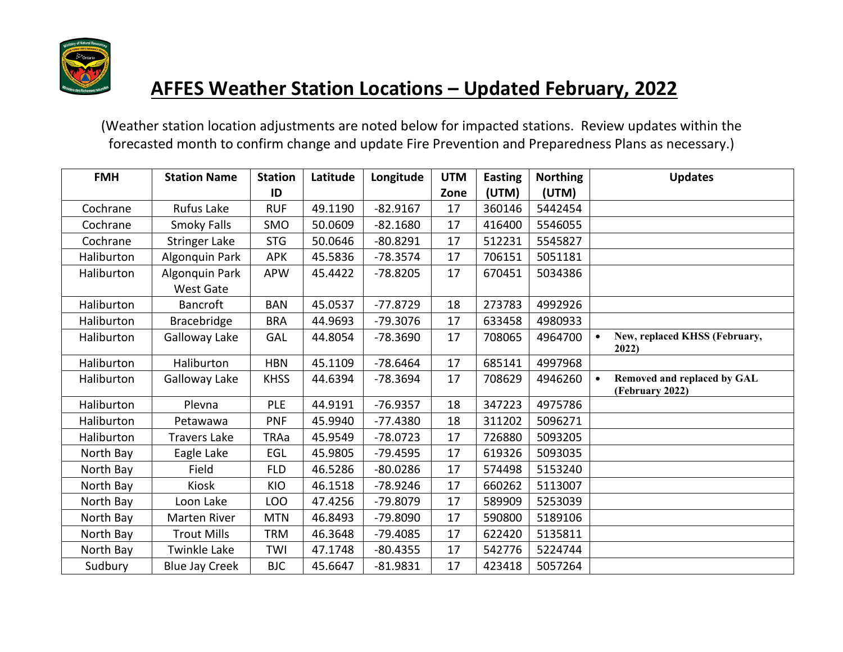

| <b>FMH</b> | <b>Station Name</b>                | <b>Station</b> | Latitude | Longitude  | <b>UTM</b> | <b>Easting</b> | <b>Northing</b> | <b>Updates</b>                                 |
|------------|------------------------------------|----------------|----------|------------|------------|----------------|-----------------|------------------------------------------------|
|            |                                    | ID             |          |            | Zone       | (UTM)          | (UTM)           |                                                |
| Cochrane   | Rufus Lake                         | <b>RUF</b>     | 49.1190  | $-82.9167$ | 17         | 360146         | 5442454         |                                                |
| Cochrane   | Smoky Falls                        | SMO            | 50.0609  | $-82.1680$ | 17         | 416400         | 5546055         |                                                |
| Cochrane   | <b>Stringer Lake</b>               | <b>STG</b>     | 50.0646  | $-80.8291$ | 17         | 512231         | 5545827         |                                                |
| Haliburton | Algonquin Park                     | <b>APK</b>     | 45.5836  | $-78.3574$ | 17         | 706151         | 5051181         |                                                |
| Haliburton | Algonquin Park<br><b>West Gate</b> | <b>APW</b>     | 45.4422  | $-78.8205$ | 17         | 670451         | 5034386         |                                                |
| Haliburton | <b>Bancroft</b>                    | <b>BAN</b>     | 45.0537  | $-77.8729$ | 18         | 273783         | 4992926         |                                                |
| Haliburton | Bracebridge                        | <b>BRA</b>     | 44.9693  | $-79.3076$ | 17         | 633458         | 4980933         |                                                |
| Haliburton | Galloway Lake                      | GAL            | 44.8054  | $-78.3690$ | 17         | 708065         | 4964700         | New, replaced KHSS (February,                  |
|            |                                    |                |          |            |            |                |                 | 2022)                                          |
| Haliburton | Haliburton                         | <b>HBN</b>     | 45.1109  | $-78.6464$ | 17         | 685141         | 4997968         |                                                |
| Haliburton | Galloway Lake                      | <b>KHSS</b>    | 44.6394  | $-78.3694$ | 17         | 708629         | 4946260         | Removed and replaced by GAL<br>(February 2022) |
| Haliburton | Plevna                             | <b>PLE</b>     | 44.9191  | $-76.9357$ | 18         | 347223         | 4975786         |                                                |
| Haliburton | Petawawa                           | <b>PNF</b>     | 45.9940  | $-77.4380$ | 18         | 311202         | 5096271         |                                                |
| Haliburton | <b>Travers Lake</b>                | <b>TRAa</b>    | 45.9549  | $-78.0723$ | 17         | 726880         | 5093205         |                                                |
| North Bay  | Eagle Lake                         | EGL            | 45.9805  | $-79.4595$ | 17         | 619326         | 5093035         |                                                |
| North Bay  | Field                              | <b>FLD</b>     | 46.5286  | $-80.0286$ | 17         | 574498         | 5153240         |                                                |
| North Bay  | <b>Kiosk</b>                       | KIO            | 46.1518  | $-78.9246$ | 17         | 660262         | 5113007         |                                                |
| North Bay  | Loon Lake                          | <b>LOO</b>     | 47.4256  | -79.8079   | 17         | 589909         | 5253039         |                                                |
| North Bay  | <b>Marten River</b>                | <b>MTN</b>     | 46.8493  | -79.8090   | 17         | 590800         | 5189106         |                                                |
| North Bay  | <b>Trout Mills</b>                 | <b>TRM</b>     | 46.3648  | $-79.4085$ | 17         | 622420         | 5135811         |                                                |
| North Bay  | <b>Twinkle Lake</b>                | TWI            | 47.1748  | $-80.4355$ | 17         | 542776         | 5224744         |                                                |
| Sudbury    | <b>Blue Jay Creek</b>              | <b>BJC</b>     | 45.6647  | $-81.9831$ | 17         | 423418         | 5057264         |                                                |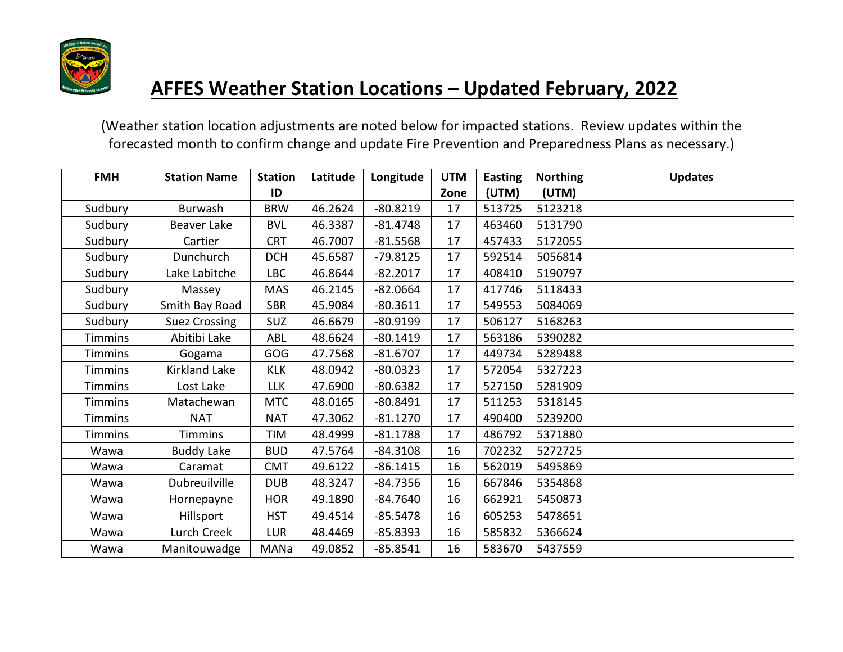

| <b>FMH</b>     | <b>Station Name</b>  | <b>Station</b> | Latitude | Longitude  | <b>UTM</b> | <b>Easting</b> | <b>Northing</b> | <b>Updates</b> |
|----------------|----------------------|----------------|----------|------------|------------|----------------|-----------------|----------------|
|                |                      | ID             |          |            | Zone       | (UTM)          | (UTM)           |                |
| Sudbury        | <b>Burwash</b>       | <b>BRW</b>     | 46.2624  | $-80.8219$ | 17         | 513725         | 5123218         |                |
| Sudbury        | <b>Beaver Lake</b>   | <b>BVL</b>     | 46.3387  | $-81.4748$ | 17         | 463460         | 5131790         |                |
| Sudbury        | Cartier              | <b>CRT</b>     | 46.7007  | $-81.5568$ | 17         | 457433         | 5172055         |                |
| Sudbury        | Dunchurch            | <b>DCH</b>     | 45.6587  | $-79.8125$ | 17         | 592514         | 5056814         |                |
| Sudbury        | Lake Labitche        | LBC            | 46.8644  | $-82.2017$ | 17         | 408410         | 5190797         |                |
| Sudbury        | Massey               | <b>MAS</b>     | 46.2145  | $-82.0664$ | 17         | 417746         | 5118433         |                |
| Sudbury        | Smith Bay Road       | <b>SBR</b>     | 45.9084  | $-80.3611$ | 17         | 549553         | 5084069         |                |
| Sudbury        | <b>Suez Crossing</b> | SUZ            | 46.6679  | $-80.9199$ | 17         | 506127         | 5168263         |                |
| <b>Timmins</b> | Abitibi Lake         | ABL            | 48.6624  | $-80.1419$ | 17         | 563186         | 5390282         |                |
| <b>Timmins</b> | Gogama               | GOG            | 47.7568  | $-81.6707$ | 17         | 449734         | 5289488         |                |
| <b>Timmins</b> | Kirkland Lake        | <b>KLK</b>     | 48.0942  | $-80.0323$ | 17         | 572054         | 5327223         |                |
| <b>Timmins</b> | Lost Lake            | <b>LLK</b>     | 47.6900  | $-80.6382$ | 17         | 527150         | 5281909         |                |
| <b>Timmins</b> | Matachewan           | <b>MTC</b>     | 48.0165  | $-80.8491$ | 17         | 511253         | 5318145         |                |
| <b>Timmins</b> | <b>NAT</b>           | <b>NAT</b>     | 47.3062  | $-81.1270$ | 17         | 490400         | 5239200         |                |
| <b>Timmins</b> | <b>Timmins</b>       | TIM            | 48.4999  | $-81.1788$ | 17         | 486792         | 5371880         |                |
| Wawa           | <b>Buddy Lake</b>    | <b>BUD</b>     | 47.5764  | $-84.3108$ | 16         | 702232         | 5272725         |                |
| Wawa           | Caramat              | <b>CMT</b>     | 49.6122  | $-86.1415$ | 16         | 562019         | 5495869         |                |
| Wawa           | Dubreuilville        | <b>DUB</b>     | 48.3247  | $-84.7356$ | 16         | 667846         | 5354868         |                |
| Wawa           | Hornepayne           | <b>HOR</b>     | 49.1890  | $-84.7640$ | 16         | 662921         | 5450873         |                |
| Wawa           | Hillsport            | <b>HST</b>     | 49.4514  | $-85.5478$ | 16         | 605253         | 5478651         |                |
| Wawa           | Lurch Creek          | <b>LUR</b>     | 48.4469  | $-85.8393$ | 16         | 585832         | 5366624         |                |
| Wawa           | Manitouwadge         | MANa           | 49.0852  | $-85.8541$ | 16         | 583670         | 5437559         |                |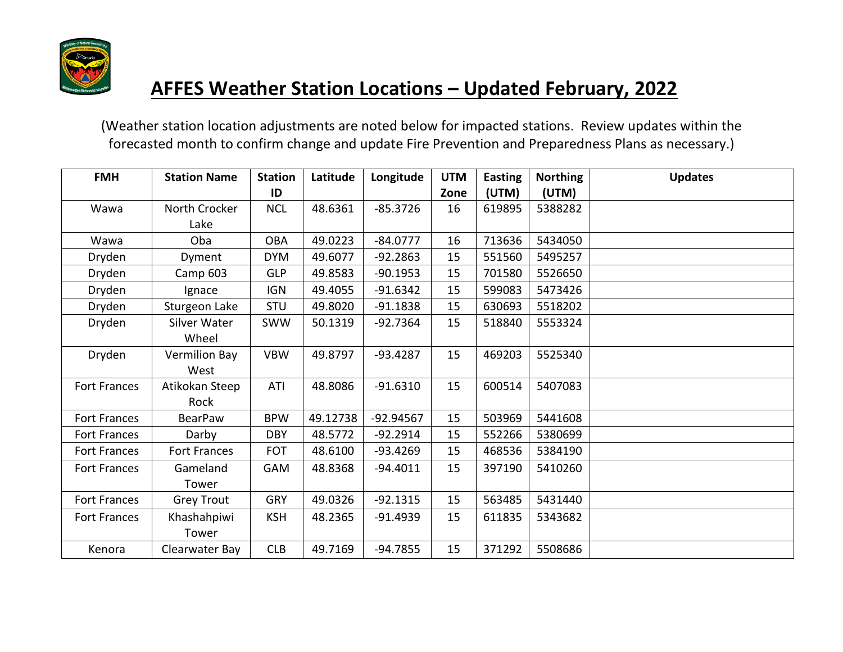

| <b>FMH</b>          | <b>Station Name</b> | <b>Station</b> | Latitude | Longitude   | <b>UTM</b> | <b>Easting</b> | <b>Northing</b> | <b>Updates</b> |
|---------------------|---------------------|----------------|----------|-------------|------------|----------------|-----------------|----------------|
|                     |                     | ID             |          |             | Zone       | (UTM)          | (UTM)           |                |
| Wawa                | North Crocker       | <b>NCL</b>     | 48.6361  | $-85.3726$  | 16         | 619895         | 5388282         |                |
|                     | Lake                |                |          |             |            |                |                 |                |
| Wawa                | Oba                 | <b>OBA</b>     | 49.0223  | $-84.0777$  | 16         | 713636         | 5434050         |                |
| Dryden              | Dyment              | <b>DYM</b>     | 49.6077  | $-92.2863$  | 15         | 551560         | 5495257         |                |
| Dryden              | Camp <sub>603</sub> | <b>GLP</b>     | 49.8583  | $-90.1953$  | 15         | 701580         | 5526650         |                |
| Dryden              | Ignace              | <b>IGN</b>     | 49.4055  | $-91.6342$  | 15         | 599083         | 5473426         |                |
| Dryden              | Sturgeon Lake       | <b>STU</b>     | 49.8020  | $-91.1838$  | 15         | 630693         | 5518202         |                |
| Dryden              | <b>Silver Water</b> | <b>SWW</b>     | 50.1319  | $-92.7364$  | 15         | 518840         | 5553324         |                |
|                     | Wheel               |                |          |             |            |                |                 |                |
| Dryden              | Vermilion Bay       | <b>VBW</b>     | 49.8797  | $-93.4287$  | 15         | 469203         | 5525340         |                |
|                     | West                |                |          |             |            |                |                 |                |
| <b>Fort Frances</b> | Atikokan Steep      | ATI            | 48.8086  | $-91.6310$  | 15         | 600514         | 5407083         |                |
|                     | Rock                |                |          |             |            |                |                 |                |
| <b>Fort Frances</b> | <b>BearPaw</b>      | <b>BPW</b>     | 49.12738 | $-92.94567$ | 15         | 503969         | 5441608         |                |
| <b>Fort Frances</b> | Darby               | <b>DBY</b>     | 48.5772  | $-92.2914$  | 15         | 552266         | 5380699         |                |
| Fort Frances        | Fort Frances        | <b>FOT</b>     | 48.6100  | $-93.4269$  | 15         | 468536         | 5384190         |                |
| <b>Fort Frances</b> | Gameland            | <b>GAM</b>     | 48.8368  | $-94.4011$  | 15         | 397190         | 5410260         |                |
|                     | Tower               |                |          |             |            |                |                 |                |
| <b>Fort Frances</b> | <b>Grey Trout</b>   | <b>GRY</b>     | 49.0326  | $-92.1315$  | 15         | 563485         | 5431440         |                |
| <b>Fort Frances</b> | Khashahpiwi         | <b>KSH</b>     | 48.2365  | $-91.4939$  | 15         | 611835         | 5343682         |                |
|                     | Tower               |                |          |             |            |                |                 |                |
| Kenora              | Clearwater Bay      | <b>CLB</b>     | 49.7169  | $-94.7855$  | 15         | 371292         | 5508686         |                |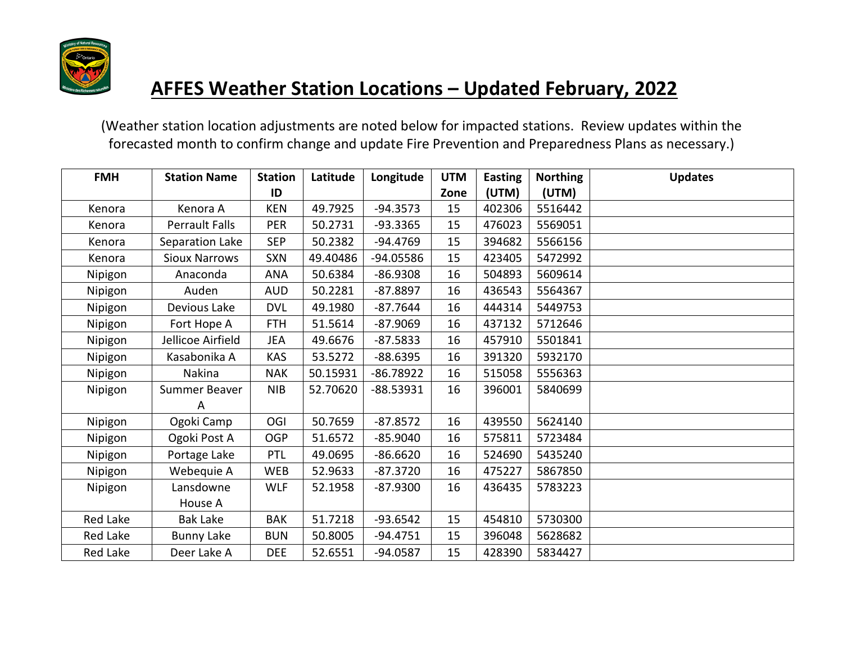

| <b>FMH</b> | <b>Station Name</b>   | <b>Station</b> | Latitude | Longitude   | <b>UTM</b> | <b>Easting</b> | <b>Northing</b> | <b>Updates</b> |
|------------|-----------------------|----------------|----------|-------------|------------|----------------|-----------------|----------------|
|            |                       | ID             |          |             | Zone       | (UTM)          | (UTM)           |                |
| Kenora     | Kenora A              | <b>KEN</b>     | 49.7925  | $-94.3573$  | 15         | 402306         | 5516442         |                |
| Kenora     | <b>Perrault Falls</b> | <b>PER</b>     | 50.2731  | $-93.3365$  | 15         | 476023         | 5569051         |                |
| Kenora     | Separation Lake       | <b>SEP</b>     | 50.2382  | $-94.4769$  | 15         | 394682         | 5566156         |                |
| Kenora     | <b>Sioux Narrows</b>  | <b>SXN</b>     | 49.40486 | -94.05586   | 15         | 423405         | 5472992         |                |
| Nipigon    | Anaconda              | <b>ANA</b>     | 50.6384  | $-86.9308$  | 16         | 504893         | 5609614         |                |
| Nipigon    | Auden                 | <b>AUD</b>     | 50.2281  | $-87.8897$  | 16         | 436543         | 5564367         |                |
| Nipigon    | Devious Lake          | <b>DVL</b>     | 49.1980  | $-87.7644$  | 16         | 444314         | 5449753         |                |
| Nipigon    | Fort Hope A           | <b>FTH</b>     | 51.5614  | $-87.9069$  | 16         | 437132         | 5712646         |                |
| Nipigon    | Jellicoe Airfield     | JEA            | 49.6676  | $-87.5833$  | 16         | 457910         | 5501841         |                |
| Nipigon    | Kasabonika A          | <b>KAS</b>     | 53.5272  | $-88.6395$  | 16         | 391320         | 5932170         |                |
| Nipigon    | Nakina                | <b>NAK</b>     | 50.15931 | $-86.78922$ | 16         | 515058         | 5556363         |                |
| Nipigon    | Summer Beaver         | <b>NIB</b>     | 52.70620 | $-88.53931$ | 16         | 396001         | 5840699         |                |
|            | A                     |                |          |             |            |                |                 |                |
| Nipigon    | Ogoki Camp            | OGI            | 50.7659  | $-87.8572$  | 16         | 439550         | 5624140         |                |
| Nipigon    | Ogoki Post A          | <b>OGP</b>     | 51.6572  | $-85.9040$  | 16         | 575811         | 5723484         |                |
| Nipigon    | Portage Lake          | PTL            | 49.0695  | $-86.6620$  | 16         | 524690         | 5435240         |                |
| Nipigon    | Webequie A            | <b>WEB</b>     | 52.9633  | $-87.3720$  | 16         | 475227         | 5867850         |                |
| Nipigon    | Lansdowne             | <b>WLF</b>     | 52.1958  | $-87.9300$  | 16         | 436435         | 5783223         |                |
|            | House A               |                |          |             |            |                |                 |                |
| Red Lake   | <b>Bak Lake</b>       | <b>BAK</b>     | 51.7218  | $-93.6542$  | 15         | 454810         | 5730300         |                |
| Red Lake   | <b>Bunny Lake</b>     | <b>BUN</b>     | 50.8005  | $-94.4751$  | 15         | 396048         | 5628682         |                |
| Red Lake   | Deer Lake A           | <b>DEE</b>     | 52.6551  | $-94.0587$  | 15         | 428390         | 5834427         |                |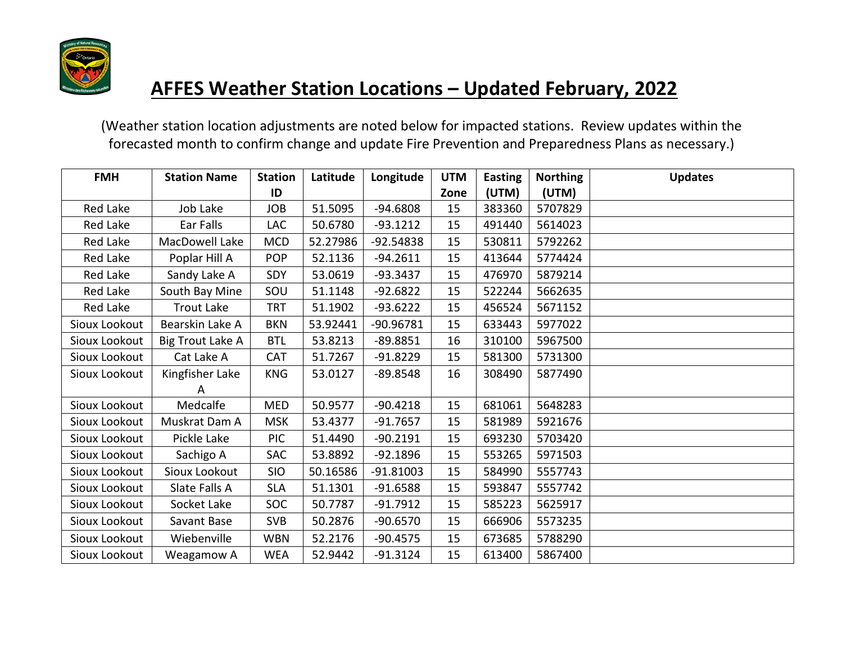

| <b>FMH</b>    | <b>Station Name</b> | <b>Station</b> | Latitude | Longitude   | <b>UTM</b> | <b>Easting</b> | <b>Northing</b> | <b>Updates</b> |
|---------------|---------------------|----------------|----------|-------------|------------|----------------|-----------------|----------------|
|               |                     | ID             |          |             | Zone       | (UTM)          | (UTM)           |                |
| Red Lake      | Job Lake            | <b>JOB</b>     | 51.5095  | $-94.6808$  | 15         | 383360         | 5707829         |                |
| Red Lake      | Ear Falls           | LAC            | 50.6780  | $-93.1212$  | 15         | 491440         | 5614023         |                |
| Red Lake      | MacDowell Lake      | <b>MCD</b>     | 52.27986 | $-92.54838$ | 15         | 530811         | 5792262         |                |
| Red Lake      | Poplar Hill A       | <b>POP</b>     | 52.1136  | $-94.2611$  | 15         | 413644         | 5774424         |                |
| Red Lake      | Sandy Lake A        | <b>SDY</b>     | 53.0619  | $-93.3437$  | 15         | 476970         | 5879214         |                |
| Red Lake      | South Bay Mine      | SOU            | 51.1148  | $-92.6822$  | 15         | 522244         | 5662635         |                |
| Red Lake      | <b>Trout Lake</b>   | <b>TRT</b>     | 51.1902  | $-93.6222$  | 15         | 456524         | 5671152         |                |
| Sioux Lookout | Bearskin Lake A     | <b>BKN</b>     | 53.92441 | -90.96781   | 15         | 633443         | 5977022         |                |
| Sioux Lookout | Big Trout Lake A    | <b>BTL</b>     | 53.8213  | $-89.8851$  | 16         | 310100         | 5967500         |                |
| Sioux Lookout | Cat Lake A          | <b>CAT</b>     | 51.7267  | $-91.8229$  | 15         | 581300         | 5731300         |                |
| Sioux Lookout | Kingfisher Lake     | <b>KNG</b>     | 53.0127  | $-89.8548$  | 16         | 308490         | 5877490         |                |
|               | A                   |                |          |             |            |                |                 |                |
| Sioux Lookout | Medcalfe            | MED            | 50.9577  | $-90.4218$  | 15         | 681061         | 5648283         |                |
| Sioux Lookout | Muskrat Dam A       | <b>MSK</b>     | 53.4377  | $-91.7657$  | 15         | 581989         | 5921676         |                |
| Sioux Lookout | Pickle Lake         | <b>PIC</b>     | 51.4490  | $-90.2191$  | 15         | 693230         | 5703420         |                |
| Sioux Lookout | Sachigo A           | SAC            | 53.8892  | $-92.1896$  | 15         | 553265         | 5971503         |                |
| Sioux Lookout | Sioux Lookout       | <b>SIO</b>     | 50.16586 | $-91.81003$ | 15         | 584990         | 5557743         |                |
| Sioux Lookout | Slate Falls A       | <b>SLA</b>     | 51.1301  | $-91.6588$  | 15         | 593847         | 5557742         |                |
| Sioux Lookout | Socket Lake         | SOC            | 50.7787  | $-91.7912$  | 15         | 585223         | 5625917         |                |
| Sioux Lookout | Savant Base         | <b>SVB</b>     | 50.2876  | $-90.6570$  | 15         | 666906         | 5573235         |                |
| Sioux Lookout | Wiebenville         | <b>WBN</b>     | 52.2176  | $-90.4575$  | 15         | 673685         | 5788290         |                |
| Sioux Lookout | Weagamow A          | <b>WEA</b>     | 52.9442  | $-91.3124$  | 15         | 613400         | 5867400         |                |